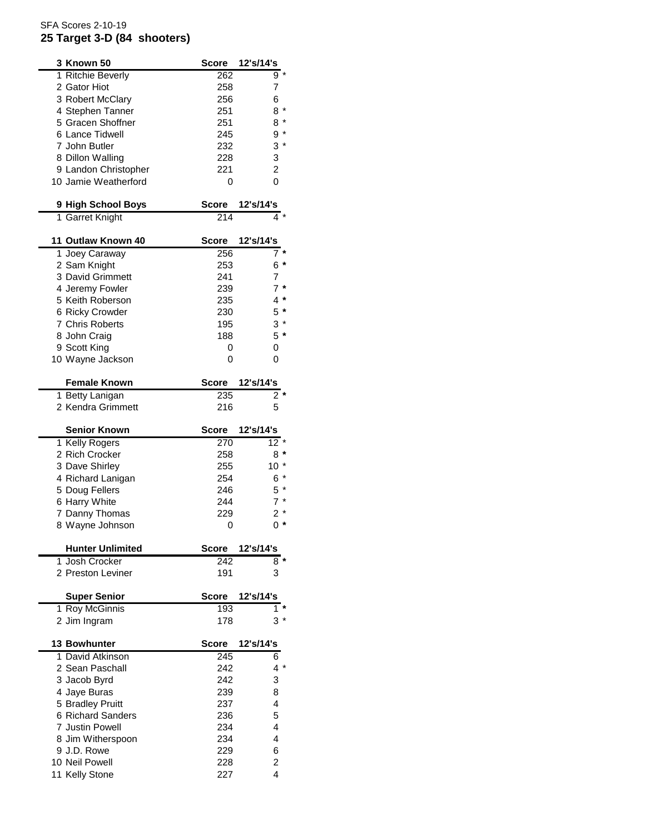## SFA Scores 2-10-19 **25 Target 3-D (84 shooters)**

| 3 Known 50                       | <b>Score</b> | 12's/14's        |
|----------------------------------|--------------|------------------|
| 1 Ritchie Beverly                | 262          | $9 *$            |
| 2 Gator Hiot                     | 258          | 7                |
| 3 Robert McClary                 | 256          | 6                |
| 4 Stephen Tanner                 | 251          | $8*$             |
| 5 Gracen Shoffner                | 251          | $8*$             |
| 6 Lance Tidwell                  | 245          | $9 *$            |
| 7 John Butler                    | 232          | $3*$             |
| 8 Dillon Walling                 | 228          | 3                |
| 9 Landon Christopher             | 221          | $\overline{c}$   |
| 10 Jamie Weatherford             | 0            | 0                |
|                                  |              |                  |
| 9 High School Boys               | <b>Score</b> | 12's/14's        |
| 1 Garret Knight                  | 214          | 4                |
| 11 Outlaw Known 40               | <b>Score</b> | 12's/14's        |
| 1 Joey Caraway                   | 256          | 7                |
| 2 Sam Knight                     | 253          | 6 *              |
| 3 David Grimmett                 | 241          | $\overline{7}$   |
| 4 Jeremy Fowler                  | 239          | $7 *$            |
| 5 Keith Roberson                 | 235          | $4 *$            |
| 6 Ricky Crowder                  | 230          | $5*$             |
| 7 Chris Roberts                  | 195          | $3 *$            |
| 8 John Craig                     | 188          | $5*$             |
| 9 Scott King                     | 0            | 0                |
| 10 Wayne Jackson                 | 0            | 0                |
|                                  |              |                  |
| <b>Female Known</b>              | <b>Score</b> | 12's/14's        |
| 1 Betty Lanigan                  | 235          | $\overline{2}$ * |
| 2 Kendra Grimmett                | 216          | 5                |
|                                  |              |                  |
|                                  |              |                  |
| <b>Senior Known</b>              | <b>Score</b> | 12's/14's        |
|                                  | 270          | $12*$            |
| 1 Kelly Rogers                   | 258          |                  |
| 2 Rich Crocker                   | 255          | 8 *              |
| 3 Dave Shirley                   |              | $10 *$           |
| 4 Richard Lanigan                | 254          | $6*$             |
| 5 Doug Fellers                   | 246          | $5*$             |
| 6 Harry White                    | 244          | $7 *$            |
| 7 Danny Thomas                   | 229          | $2*$             |
| 8 Wayne Johnson                  | 0            | 0 *              |
| <b>Hunter Unlimited</b>          | <b>Score</b> | 12's/14's        |
| 1 Josh Crocker                   | 242          | $8*$             |
| 2 Preston Leviner                | 191          | 3                |
| <b>Super Senior</b>              | Score        | 12's/14's        |
| 1 Roy McGinnis                   | 193          | 1                |
| 2 Jim Ingram                     | 178          | 3 *              |
|                                  |              |                  |
| <b>13 Bowhunter</b>              | Score        | 12's/14's        |
| 1 David Atkinson                 | 245          | 6                |
| 2 Sean Paschall                  | 242          | $4 *$            |
| 3 Jacob Byrd                     | 242          | 3                |
| 4 Jaye Buras                     | 239          | 8                |
| 5 Bradley Pruitt                 | 237          | 4                |
| 6 Richard Sanders                | 236          | 5                |
| <b>7 Justin Powell</b>           | 234          | 4                |
| 8 Jim Witherspoon                | 234          | 4                |
| 9 J.D. Rowe                      | 229          | 6                |
| 10 Neil Powell<br>11 Kelly Stone | 228<br>227   | 2<br>4           |